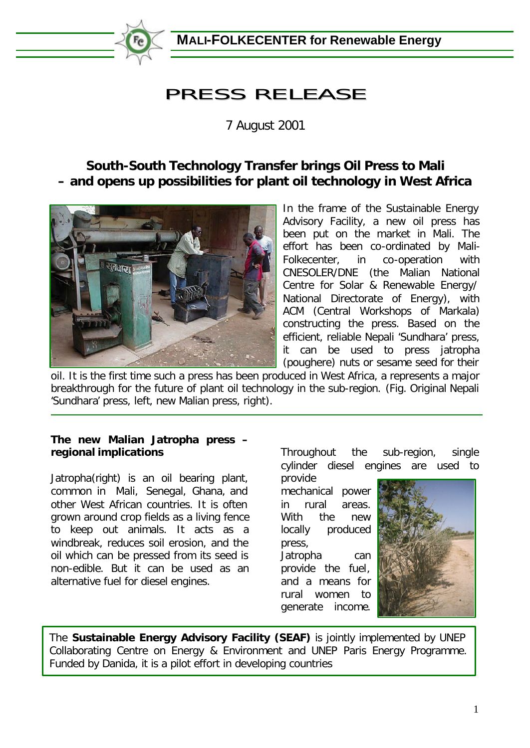

**MALI-FOLKECENTER for Renewable Energy**

## PRESS RELEASE

7 August 2001

## **South-South Technology Transfer brings Oil Press to Mali – and opens up possibilities for plant oil technology in West Africa**



In the frame of the Sustainable Energy Advisory Facility, a new oil press has been put on the market in Mali. The effort has been co-ordinated by Mali-Folkecenter, in co-operation with CNESOLER/DNE (the Malian National Centre for Solar & Renewable Energy/ National Directorate of Energy), with ACM (Central Workshops of Markala) constructing the press. Based on the efficient, reliable Nepali 'Sundhara' press, it can be used to press jatropha (poughere) nuts or sesame seed for their

oil. It is the first time such a press has been produced in West Africa, a represents a major breakthrough for the future of plant oil technology in the sub-region. (Fig. Original Nepali 'Sundhara' press, left, new Malian press, right).

**The new Malian Jatropha press – regional implications**

ł

Jatropha(right) is an oil bearing plant, common in Mali, Senegal, Ghana, and other West African countries. It is often grown around crop fields as a living fence to keep out animals. It acts as a windbreak, reduces soil erosion, and the oil which can be pressed from its seed is non-edible. But it can be used as an alternative fuel for diesel engines.

Throughout the sub-region, single cylinder diesel engines are used to

provide mechanical power in rural areas. With the new locally produced press, Jatropha can provide the fuel, and a means for rural women to generate income.



The **Sustainable Energy Advisory Facility (SEAF)** is jointly implemented by UNEP Collaborating Centre on Energy & Environment and UNEP Paris Energy Programme. Funded by Danida, it is a pilot effort in developing countries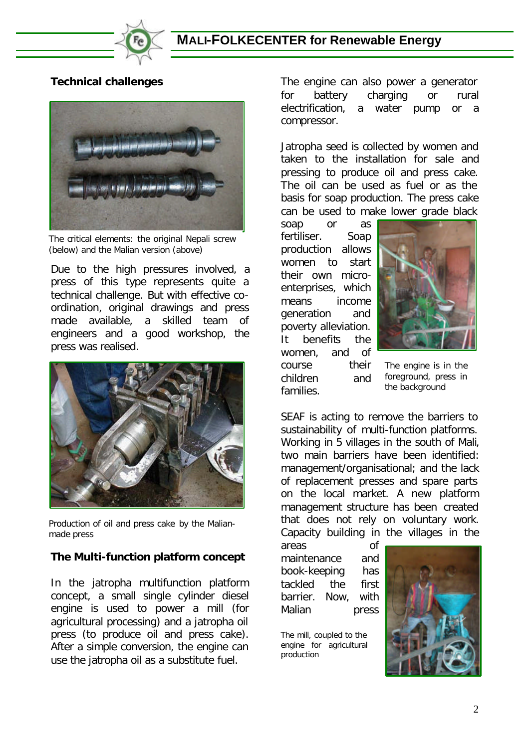

**Technical challenges**



The critical elements: the original Nepali screw (below) and the Malian version (above)

Due to the high pressures involved, a press of this type represents quite a technical challenge. But with effective coordination, original drawings and press made available, a skilled team of engineers and a good workshop, the press was realised.



Production of oil and press cake by the Malianmade press

## **The Multi-function platform concept**

In the jatropha multifunction platform concept, a small single cylinder diesel engine is used to power a mill (for agricultural processing) and a jatropha oil press (to produce oil and press cake). After a simple conversion, the engine can use the jatropha oil as a substitute fuel.

The engine can also power a generator for battery charging or rural electrification, a water pump or a compressor.

Jatropha seed is collected by women and taken to the installation for sale and pressing to produce oil and press cake. The oil can be used as fuel or as the basis for soap production. The press cake can be used to make lower grade black

soap or as fertiliser. Soap production allows women to start their own microenterprises, which means income generation and poverty alleviation. It benefits the women, and of course their children and families.



The engine is in the foreground, press in the background

SEAF is acting to remove the barriers to sustainability of multi-function platforms. Working in 5 villages in the south of Mali, two main barriers have been identified: management/organisational; and the lack of replacement presses and spare parts on the local market. A new platform management structure has been created that does not rely on voluntary work. Capacity building in the villages in the

areas of maintenance and book-keeping has tackled the first barrier. Now, with Malian press

The mill, coupled to the engine for agricultural production